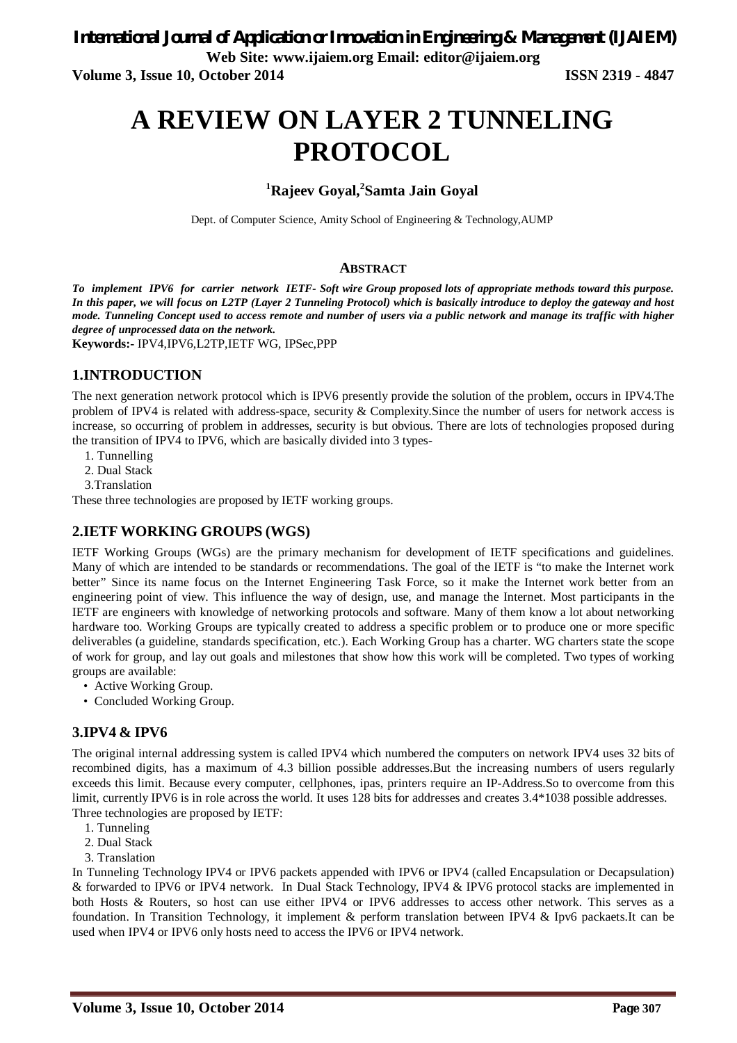**Web Site: www.ijaiem.org Email: editor@ijaiem.org**

**Volume 3, Issue 10, October 2014 ISSN 2319 - 4847**

# **A REVIEW ON LAYER 2 TUNNELING PROTOCOL**

# **<sup>1</sup>Rajeev Goyal,<sup>2</sup> Samta Jain Goyal**

Dept. of Computer Science, Amity School of Engineering & Technology,AUMP

#### **ABSTRACT**

*To implement IPV6 for carrier network IETF- Soft wire Group proposed lots of appropriate methods toward this purpose. In this paper, we will focus on L2TP (Layer 2 Tunneling Protocol) which is basically introduce to deploy the gateway and host mode. Tunneling Concept used to access remote and number of users via a public network and manage its traffic with higher degree of unprocessed data on the network.*

**Keywords:-** IPV4,IPV6,L2TP,IETF WG, IPSec,PPP

#### **1.INTRODUCTION**

The next generation network protocol which is IPV6 presently provide the solution of the problem, occurs in IPV4.The problem of IPV4 is related with address-space, security & Complexity.Since the number of users for network access is increase, so occurring of problem in addresses, security is but obvious. There are lots of technologies proposed during the transition of IPV4 to IPV6, which are basically divided into 3 types-

- 1. Tunnelling
- 2. Dual Stack
- 3.Translation

These three technologies are proposed by IETF working groups.

#### **2.IETF WORKING GROUPS (WGS)**

IETF Working Groups (WGs) are the primary mechanism for development of IETF specifications and guidelines. Many of which are intended to be standards or recommendations. The goal of the IETF is "to make the Internet work better" Since its name focus on the Internet Engineering Task Force, so it make the Internet work better from an engineering point of view. This influence the way of design, use, and manage the Internet. Most participants in the IETF are engineers with knowledge of networking protocols and software. Many of them know a lot about networking hardware too. Working Groups are typically created to address a specific problem or to produce one or more specific deliverables (a guideline, standards specification, etc.). Each Working Group has a charter. WG charters state the scope of work for group, and lay out goals and milestones that show how this work will be completed. Two types of working groups are available:

- Active Working Group.
- Concluded Working Group.

#### **3.IPV4 & IPV6**

The original internal addressing system is called IPV4 which numbered the computers on network IPV4 uses 32 bits of recombined digits, has a maximum of 4.3 billion possible addresses.But the increasing numbers of users regularly exceeds this limit. Because every computer, cellphones, ipas, printers require an IP-Address.So to overcome from this limit, currently IPV6 is in role across the world. It uses 128 bits for addresses and creates 3.4\*1038 possible addresses. Three technologies are proposed by IETF:

- 1. Tunneling
- 2. Dual Stack
- 3. Translation

In Tunneling Technology IPV4 or IPV6 packets appended with IPV6 or IPV4 (called Encapsulation or Decapsulation) & forwarded to IPV6 or IPV4 network. In Dual Stack Technology, IPV4 & IPV6 protocol stacks are implemented in both Hosts & Routers, so host can use either IPV4 or IPV6 addresses to access other network. This serves as a foundation. In Transition Technology, it implement & perform translation between IPV4 & Ipv6 packaets.It can be used when IPV4 or IPV6 only hosts need to access the IPV6 or IPV4 network.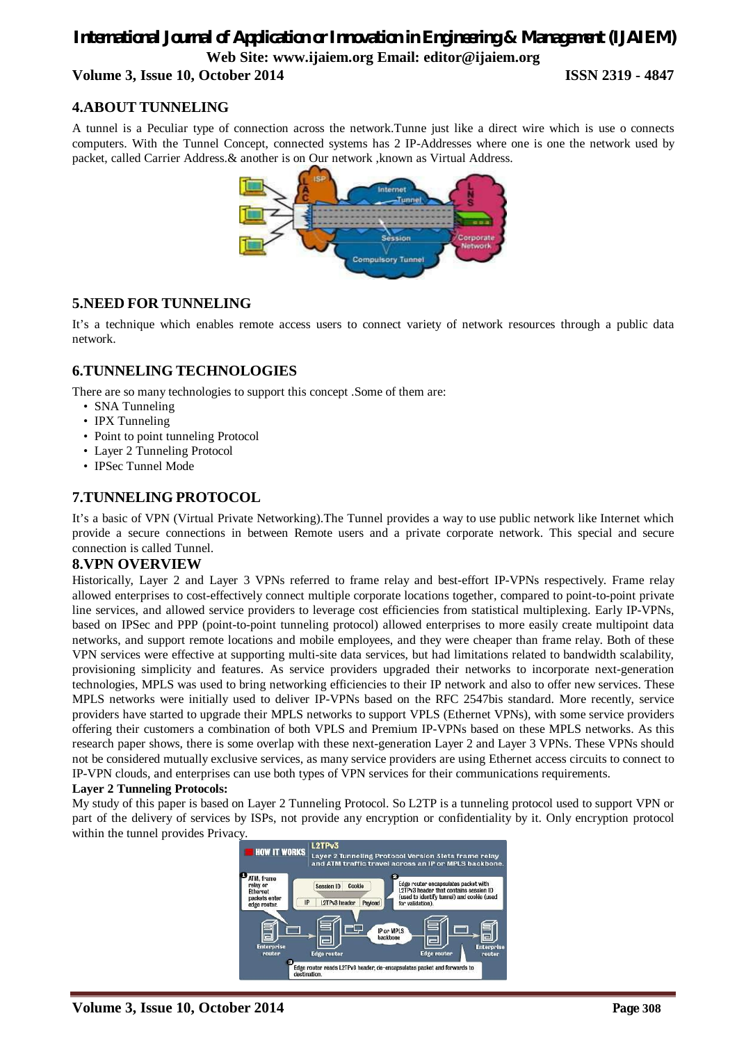# *International Journal of Application or Innovation in Engineering & Management (IJAIEM)* **Web Site: www.ijaiem.org Email: editor@ijaiem.org Volume 3, Issue 10, October 2014 ISSN 2319 - 4847**

# **4.ABOUT TUNNELING**

A tunnel is a Peculiar type of connection across the network.Tunne just like a direct wire which is use o connects computers. With the Tunnel Concept, connected systems has 2 IP-Addresses where one is one the network used by packet, called Carrier Address.& another is on Our network ,known as Virtual Address.



### **5.NEED FOR TUNNELING**

It's a technique which enables remote access users to connect variety of network resources through a public data network.

#### **6.TUNNELING TECHNOLOGIES**

There are so many technologies to support this concept .Some of them are:

- SNA Tunneling
- IPX Tunneling
- Point to point tunneling Protocol
- Layer 2 Tunneling Protocol
- IPSec Tunnel Mode

### **7.TUNNELING PROTOCOL**

It's a basic of VPN (Virtual Private Networking).The Tunnel provides a way to use public network like Internet which provide a secure connections in between Remote users and a private corporate network. This special and secure connection is called Tunnel.

#### **8.VPN OVERVIEW**

Historically, Layer 2 and Layer 3 VPNs referred to frame relay and best-effort IP-VPNs respectively. Frame relay allowed enterprises to cost-effectively connect multiple corporate locations together, compared to point-to-point private line services, and allowed service providers to leverage cost efficiencies from statistical multiplexing. Early IP-VPNs, based on IPSec and PPP (point-to-point tunneling protocol) allowed enterprises to more easily create multipoint data networks, and support remote locations and mobile employees, and they were cheaper than frame relay. Both of these VPN services were effective at supporting multi-site data services, but had limitations related to bandwidth scalability, provisioning simplicity and features. As service providers upgraded their networks to incorporate next-generation technologies, MPLS was used to bring networking efficiencies to their IP network and also to offer new services. These MPLS networks were initially used to deliver IP-VPNs based on the RFC 2547bis standard. More recently, service providers have started to upgrade their MPLS networks to support VPLS (Ethernet VPNs), with some service providers offering their customers a combination of both VPLS and Premium IP-VPNs based on these MPLS networks. As this research paper shows, there is some overlap with these next-generation Layer 2 and Layer 3 VPNs. These VPNs should not be considered mutually exclusive services, as many service providers are using Ethernet access circuits to connect to IP-VPN clouds, and enterprises can use both types of VPN services for their communications requirements.

#### **Layer 2 Tunneling Protocols:**

My study of this paper is based on Layer 2 Tunneling Protocol. So L2TP is a tunneling protocol used to support VPN or part of the delivery of services by ISPs, not provide any encryption or confidentiality by it. Only encryption protocol within the tunnel provides Privacy.

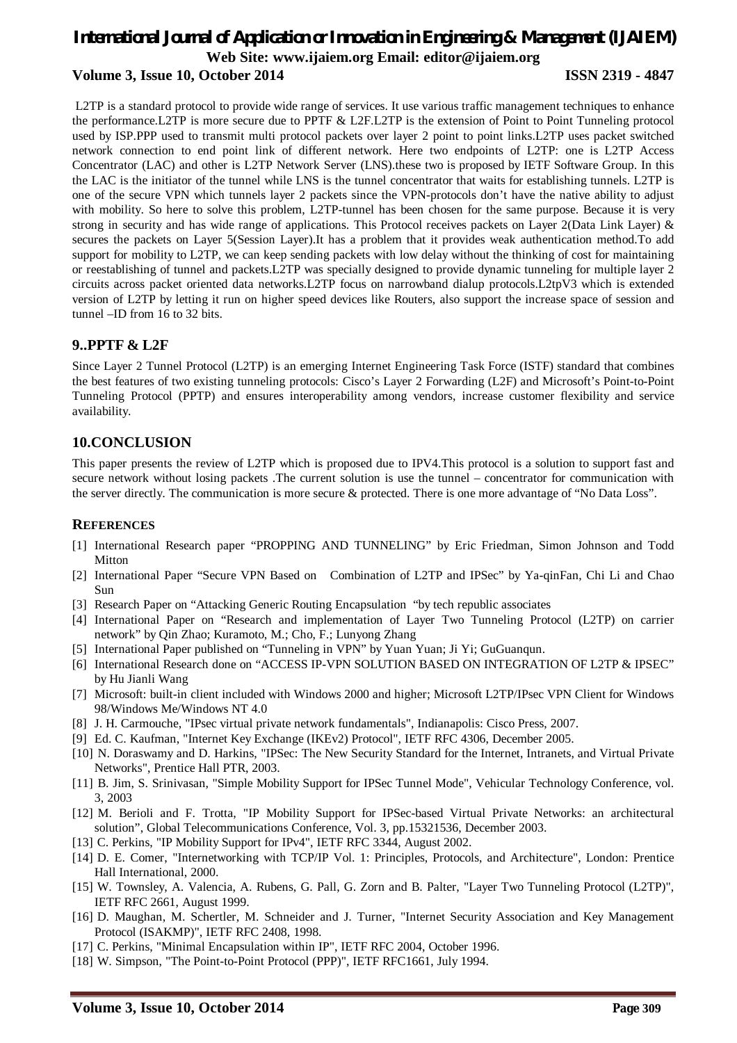# *International Journal of Application or Innovation in Engineering & Management (IJAIEM)* **Web Site: www.ijaiem.org Email: editor@ijaiem.org Volume 3, Issue 10, October 2014 ISSN 2319 - 4847**

L2TP is a standard protocol to provide wide range of services. It use various traffic management techniques to enhance the performance.L2TP is more secure due to PPTF & L2F.L2TP is the extension of Point to Point Tunneling protocol used by ISP.PPP used to transmit multi protocol packets over layer 2 point to point links.L2TP uses packet switched network connection to end point link of different network. Here two endpoints of L2TP: one is L2TP Access Concentrator (LAC) and other is L2TP Network Server (LNS).these two is proposed by IETF Software Group. In this the LAC is the initiator of the tunnel while LNS is the tunnel concentrator that waits for establishing tunnels. L2TP is one of the secure VPN which tunnels layer 2 packets since the VPN-protocols don't have the native ability to adjust with mobility. So here to solve this problem, L2TP-tunnel has been chosen for the same purpose. Because it is very strong in security and has wide range of applications. This Protocol receives packets on Layer 2(Data Link Layer) & secures the packets on Layer 5(Session Layer).It has a problem that it provides weak authentication method.To add support for mobility to L2TP, we can keep sending packets with low delay without the thinking of cost for maintaining or reestablishing of tunnel and packets.L2TP was specially designed to provide dynamic tunneling for multiple layer 2 circuits across packet oriented data networks.L2TP focus on narrowband dialup protocols.L2tpV3 which is extended version of L2TP by letting it run on higher speed devices like Routers, also support the increase space of session and tunnel –ID from 16 to 32 bits.

#### **9..PPTF & L2F**

Since Layer 2 Tunnel Protocol (L2TP) is an emerging Internet Engineering Task Force (ISTF) standard that combines the best features of two existing tunneling protocols: Cisco's Layer 2 Forwarding (L2F) and Microsoft's Point-to-Point Tunneling Protocol (PPTP) and ensures interoperability among vendors, increase customer flexibility and service availability.

#### **10.CONCLUSION**

This paper presents the review of L2TP which is proposed due to IPV4.This protocol is a solution to support fast and secure network without losing packets .The current solution is use the tunnel – concentrator for communication with the server directly. The communication is more secure & protected. There is one more advantage of "No Data Loss".

#### **REFERENCES**

- [1] International Research paper "PROPPING AND TUNNELING" by Eric Friedman, Simon Johnson and Todd Mitton
- [2] International Paper "Secure VPN Based on Combination of L2TP and IPSec" by Ya-qinFan, Chi Li and Chao Sun
- [3] Research Paper on "Attacking Generic Routing Encapsulation "by tech republic associates
- [4] International Paper on "Research and implementation of Layer Two Tunneling Protocol (L2TP) on carrier network" by Qin Zhao; Kuramoto, M.; Cho, F.; Lunyong Zhang
- [5] International Paper published on "Tunneling in VPN" by Yuan Yuan; Ji Yi; GuGuanqun.
- [6] International Research done on "ACCESS IP-VPN SOLUTION BASED ON INTEGRATION OF L2TP & IPSEC" by Hu Jianli Wang
- [7] Microsoft: built-in client included with Windows 2000 and higher; Microsoft L2TP/IPsec VPN Client for Windows 98/Windows Me/Windows NT 4.0
- [8] J. H. Carmouche, "IPsec virtual private network fundamentals", Indianapolis: Cisco Press, 2007.
- [9] Ed. C. Kaufman, "Internet Key Exchange (IKEv2) Protocol", IETF RFC 4306, December 2005.
- [10] N. Doraswamy and D. Harkins, "IPSec: The New Security Standard for the Internet, Intranets, and Virtual Private Networks", Prentice Hall PTR, 2003.
- [11] B. Jim, S. Srinivasan, "Simple Mobility Support for IPSec Tunnel Mode", Vehicular Technology Conference, vol. 3, 2003
- [12] M. Berioli and F. Trotta, "IP Mobility Support for IPSec-based Virtual Private Networks: an architectural solution", Global Telecommunications Conference, Vol. 3, pp.15321536, December 2003.
- [13] C. Perkins, "IP Mobility Support for IPv4", IETF RFC 3344, August 2002.
- [14] D. E. Comer, "Internetworking with TCP/IP Vol. 1: Principles, Protocols, and Architecture", London: Prentice Hall International, 2000.
- [15] W. Townsley, A. Valencia, A. Rubens, G. Pall, G. Zorn and B. Palter, "Layer Two Tunneling Protocol (L2TP)", IETF RFC 2661, August 1999.
- [16] D. Maughan, M. Schertler, M. Schneider and J. Turner, "Internet Security Association and Key Management Protocol (ISAKMP)", IETF RFC 2408, 1998.
- [17] C. Perkins, "Minimal Encapsulation within IP", IETF RFC 2004, October 1996.
- [18] W. Simpson, "The Point-to-Point Protocol (PPP)", IETF RFC1661, July 1994.